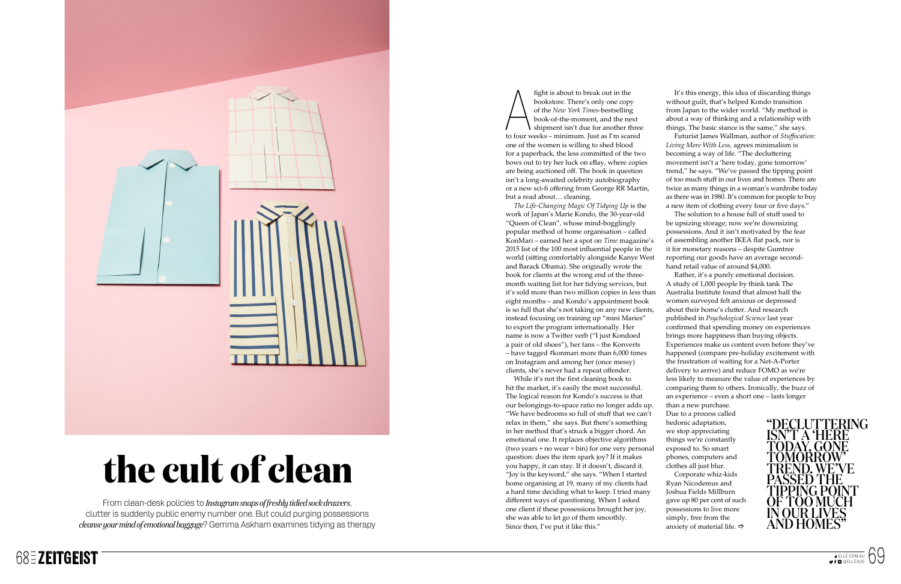From clean-desk policies to *Instagram snaps of freshly tidied sock drawers*, clutter is suddenly public enemy number one. But could purging possessions *cleanse your mind of emotional baggage*? Gemma Askham examines tidying as therapy

fight is about to break out in the<br>
bookstore. There's only one copy<br>
of the *New York Times*-bestselling<br>
book-of-the-moment, and the next<br>
to four weeks – minimum. Just as I'm scared bookstore. There's only one copy of the *New York Times*-bestselling book-of-the-moment, and the next shipment isn't due for another three one of the women is willing to shed blood for a paperback, the less committed of the two bows out to try her luck on eBay, where copies are being auctioned off. The book in question isn't a long-awaited celebrity autobiography or a new sci-fi offering from George RR Martin, but a read about… cleaning.

While it's not the first cleaning book to hit the market, it's easily the most successful. The logical reason for Kondo's success is that our belongings-to-space ratio no longer adds up. "We have bedrooms so full of stuff that we can't relax in them," she says. But there's something in her method that's struck a bigger chord. An emotional one. It replaces objective algorithms (two years + no wear = bin) for one very personal question: does the item spark joy? If it makes you happy, it can stay. If it doesn't, discard it. "Joy is the keyword," she says. "When I started home organising at 19, many of my clients had a hard time deciding what to keep. I tried many different ways of questioning. When I asked one client if these possessions brought her joy, she was able to let go of them smoothly. Since then, I've put it like this." an experience – even a short one – lasts longer than a new purchase. Due to a process called hedonic adaptation, we stop appreciating things we're constantly exposed to. So smart phones, computers and clothes all just blur. Corporate whiz-kids Ryan Nicodemus and Joshua Fields Millburn gave up 80 per cent of such possessions to live more simply, free from the anxiety of material life.  $\Rightarrow$ 

*The Life-Changing Magic Of Tidying Up* is the work of Japan's Marie Kondo, the 30-year-old "Queen of Clean", whose mind-bogglingly popular method of home organisation – called KonMari – earned her a spot on *Time* magazine's 2015 list of the 100 most influential people in the world (sitting comfortably alongside Kanye West and Barack Obama). She originally wrote the book for clients at the wrong end of the threemonth waiting list for her tidying services, but it's sold more than two million copies in less than eight months – and Kondo's appointment book is so full that she's not taking on any new clients, instead focusing on training up "mini Maries" to export the program internationally. Her name is now a Twitter verb ("I just Kondoed a pair of old shoes"), her fans – the Konverts – have tagged #konmari more than 6,000 times on Instagram and among her (once messy) clients, she's never had a repeat offender.

It's this energy, this idea of discarding things without guilt, that's helped Kondo transition from Japan to the wider world. "My method is about a way of thinking and a relationship with things. The basic stance is the same," she says.

Futurist James Wallman, author of *Stuffocation: Living More With Less*, agrees minimalism is becoming a way of life. "The decluttering movement isn't a 'here today, gone tomorrow' trend," he says. "We've passed the tipping point of too much stuff in our lives and homes. There are twice as many things in a woman's wardrobe today as there was in 1980. It's common for people to buy a new item of clothing every four or five days."

The solution to a house full of stuff used to be upsizing storage; now we're downsizing possessions. And it isn't motivated by the fear of assembling another IKEA flat pack, nor is it for monetary reasons – despite Gumtree reporting our goods have an average secondhand retail value of around \$4,000.

Rather, it's a purely emotional decision. A study of 1,000 people by think tank The Australia Institute found that almost half the women surveyed felt anxious or depressed about their home's clutter. And research published in *Psychological Science* last year confirmed that spending money on experiences brings more happiness than buying objects. Experiences make us content even before they've happened (compare pre-holiday excitement with the frustration of waiting for a Net-A-Porter delivery to arrive) and reduce FOMO as we're less likely to measure the value of experiences by comparing them to others. Ironically, the buzz of





# **the cult of clean**